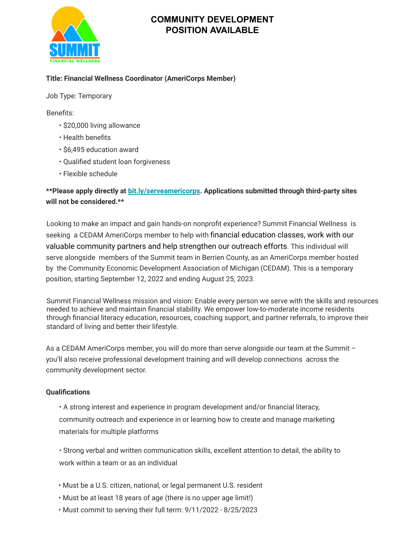

# **COMMUNITY DEVELOPMENT POSITION AVAILABLE**

### **Title: Financial Wellness Coordinator (AmeriCorps Member)**

Job Type: Temporary

Benefits:

- \$20,000 living allowance
- Health benefits
- \$6,495 education award
- Qualified student loan forgiveness
- Flexible schedule

## **\*\*Please apply directly at bit.ly/serveamericorps. Applications submitted through third-party sites will not be considered.\*\***

Looking to make an impact and gain hands-on nonprofit experience? Summit Financial Wellness is seeking a CEDAM AmeriCorps member to help with financial education classes, work with our valuable community partners and help strengthen our outreach efforts. This individual will serve alongside members of the Summit team in Berrien County, as an AmeriCorps member hosted by the Community Economic Development Association of Michigan (CEDAM). This is a temporary position, starting September 12, 2022 and ending August 25, 2023.

Summit Financial Wellness mission and vision: Enable every person we serve with the skills and resources needed to achieve and maintain financial stability. We empower low-to-moderate income residents through financial literacy education, resources, coaching support, and partner referrals, to improve their standard of living and better their lifestyle.

As a CEDAM AmeriCorps member, you will do more than serve alongside our team at the Summit you'll also receive professional development training and will develop connections across the community development sector.

#### **Qualifications**

• A strong interest and experience in program development and/or financial literacy, community outreach and experience in or learning how to create and manage marketing materials for multiple platforms

• Strong verbal and written communication skills, excellent attention to detail, the ability to work within a team or as an individual

- Must be a U.S. citizen, national, or legal permanent U.S. resident
- Must be at least 18 years of age (there is no upper age limit!)
- Must commit to serving their full term: 9/11/2022 8/25/2023